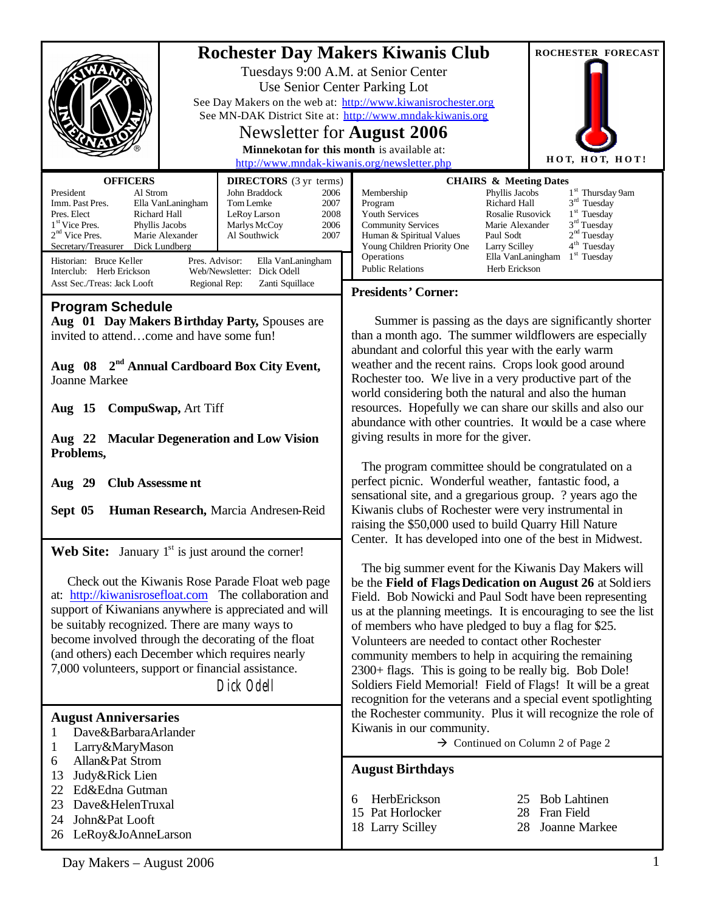|                                                                                                                                                                                                                                                                                                                                                                                                                                                                                                                | ROCHESTER FORECAST                                                                                                                                                                                                                                                                                                                                                                                                                                                                                                                                                                                                                                                                                                                                         |
|----------------------------------------------------------------------------------------------------------------------------------------------------------------------------------------------------------------------------------------------------------------------------------------------------------------------------------------------------------------------------------------------------------------------------------------------------------------------------------------------------------------|------------------------------------------------------------------------------------------------------------------------------------------------------------------------------------------------------------------------------------------------------------------------------------------------------------------------------------------------------------------------------------------------------------------------------------------------------------------------------------------------------------------------------------------------------------------------------------------------------------------------------------------------------------------------------------------------------------------------------------------------------------|
|                                                                                                                                                                                                                                                                                                                                                                                                                                                                                                                | <b>Rochester Day Makers Kiwanis Club</b><br>Tuesdays 9:00 A.M. at Senior Center<br>Use Senior Center Parking Lot<br>See Day Makers on the web at: http://www.kiwanisrochester.org<br>See MN-DAK District Site at: http://www.mndak-kiwanis.org<br>Newsletter for <b>August</b> 2006<br>Minnekotan for this month is available at:<br>нот, нот, нот!<br>http://www.mndak-kiwanis.org/newsletter.php                                                                                                                                                                                                                                                                                                                                                         |
| <b>OFFICERS</b>                                                                                                                                                                                                                                                                                                                                                                                                                                                                                                |                                                                                                                                                                                                                                                                                                                                                                                                                                                                                                                                                                                                                                                                                                                                                            |
| <b>DIRECTORS</b> (3 yr terms)<br>Al Strom<br>John Braddock<br>President<br>2006<br>Imm. Past Pres.<br>Ella VanLaningham<br>Tom Lemke<br>2007<br>Pres. Elect<br>Richard Hall<br>2008<br>LeRoy Larson<br>1 <sup>st</sup> Vice Pres.<br>Phyllis Jacobs<br>Marlys McCoy<br>2006<br>$2nd$ Vice Pres.<br>Marie Alexander<br>Al Southwick<br>2007<br>Secretary/Treasurer<br>Dick Lundberg<br>Historian: Bruce Keller<br>Pres. Advisor:<br>Ella VanLaningham<br>Interclub: Herb Erickson<br>Web/Newsletter: Dick Odell | <b>CHAIRS &amp; Meeting Dates</b><br>1 <sup>st</sup> Thursday 9am<br>Phyllis Jacobs<br>Membership<br>$3rd$ Tuesday<br>Richard Hall<br>Program<br>1 <sup>st</sup> Tuesday<br>Youth Services<br>Rosalie Rusovick<br>3 <sup>rd</sup> Tuesday<br><b>Community Services</b><br>Marie Alexander<br>2 <sup>nd</sup> Tuesday<br>Human & Spiritual Values<br>Paul Sodt<br>4 <sup>th</sup> Tuesday<br>Young Children Priority One<br>Larry Scilley<br>$1st$ Tuesday<br>Operations<br>Ella VanLaningham<br><b>Public Relations</b><br>Herb Erickson                                                                                                                                                                                                                   |
| Asst Sec./Treas: Jack Looft<br>Regional Rep:<br>Zanti Squillace                                                                                                                                                                                                                                                                                                                                                                                                                                                | <b>Presidents' Corner:</b>                                                                                                                                                                                                                                                                                                                                                                                                                                                                                                                                                                                                                                                                                                                                 |
| <b>Program Schedule</b><br>Aug 01 Day Makers Birthday Party, Spouses are<br>invited to attendcome and have some fun!<br>Aug 08 2 <sup>nd</sup> Annual Cardboard Box City Event,<br><b>Joanne Markee</b><br>CompuSwap, Art Tiff<br>Aug $15$<br>Aug 22 Macular Degeneration and Low Vision<br>Problems,<br><b>Club Assessme nt</b><br>Aug 29<br>Sept 05<br>Human Research, Marcia Andresen-Reid                                                                                                                  | Summer is passing as the days are significantly shorter<br>than a month ago. The summer wildflowers are especially<br>abundant and colorful this year with the early warm<br>weather and the recent rains. Crops look good around<br>Rochester too. We live in a very productive part of the<br>world considering both the natural and also the human<br>resources. Hopefully we can share our skills and also our<br>abundance with other countries. It would be a case where<br>giving results in more for the giver.<br>The program committee should be congratulated on a<br>perfect picnic. Wonderful weather, fantastic food, a<br>sensational site, and a gregarious group. ? years ago the<br>Kiwanis clubs of Rochester were very instrumental in |
|                                                                                                                                                                                                                                                                                                                                                                                                                                                                                                                | raising the \$50,000 used to build Quarry Hill Nature                                                                                                                                                                                                                                                                                                                                                                                                                                                                                                                                                                                                                                                                                                      |
| <b>Web Site:</b> January $1st$ is just around the corner!                                                                                                                                                                                                                                                                                                                                                                                                                                                      | Center. It has developed into one of the best in Midwest.                                                                                                                                                                                                                                                                                                                                                                                                                                                                                                                                                                                                                                                                                                  |
| Check out the Kiwanis Rose Parade Float web page<br>at: http://kiwanisrosefloat.com The collaboration and<br>support of Kiwanians anywhere is appreciated and will<br>be suitably recognized. There are many ways to<br>become involved through the decorating of the float<br>(and others) each December which requires nearly<br>7,000 volunteers, support or financial assistance.<br>Dick Odell                                                                                                            | The big summer event for the Kiwanis Day Makers will<br>be the Field of Flags Dedication on August 26 at Soldiers<br>Field. Bob Nowicki and Paul Sodt have been representing<br>us at the planning meetings. It is encouraging to see the list<br>of members who have pledged to buy a flag for \$25.<br>Volunteers are needed to contact other Rochester<br>community members to help in acquiring the remaining<br>2300+ flags. This is going to be really big. Bob Dole!<br>Soldiers Field Memorial! Field of Flags! It will be a great<br>recognition for the veterans and a special event spotlighting                                                                                                                                                |
| <b>August Anniversaries</b><br>Dave&BarbaraArlander<br>1<br>Larry&MaryMason<br>1                                                                                                                                                                                                                                                                                                                                                                                                                               | the Rochester community. Plus it will recognize the role of<br>Kiwanis in our community.<br>$\rightarrow$ Continued on Column 2 of Page 2                                                                                                                                                                                                                                                                                                                                                                                                                                                                                                                                                                                                                  |
| 6<br>Allan&Pat Strom<br>Judy&Rick Lien<br>13                                                                                                                                                                                                                                                                                                                                                                                                                                                                   | <b>August Birthdays</b>                                                                                                                                                                                                                                                                                                                                                                                                                                                                                                                                                                                                                                                                                                                                    |
| Ed&Edna Gutman<br>22<br>Dave&HelenTruxal<br>23<br>John&Pat Looft<br>24<br>LeRoy&JoAnneLarson<br>26                                                                                                                                                                                                                                                                                                                                                                                                             | HerbErickson<br><b>Bob Lahtinen</b><br>25<br>6<br>15 Pat Horlocker<br>Fran Field<br>28<br>18 Larry Scilley<br>Joanne Markee<br>28                                                                                                                                                                                                                                                                                                                                                                                                                                                                                                                                                                                                                          |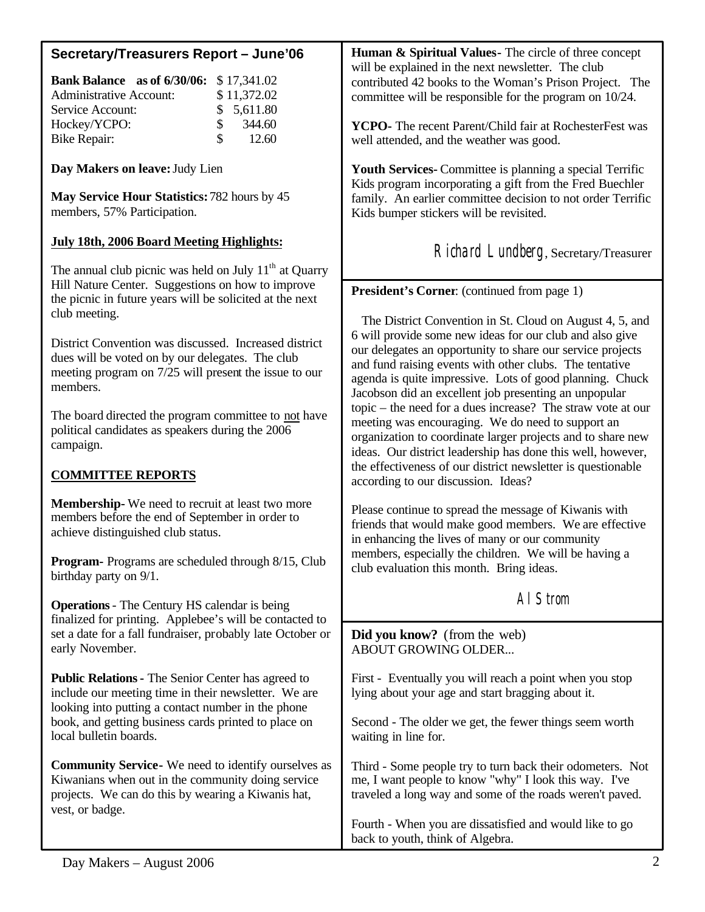| Secretary/Treasurers Report - June'06                                                                                                                                                                                                              | Human & Spiritual Values - The circle of three concept<br>will be explained in the next newsletter. The club                                                                                                                                                                                                                                                       |
|----------------------------------------------------------------------------------------------------------------------------------------------------------------------------------------------------------------------------------------------------|--------------------------------------------------------------------------------------------------------------------------------------------------------------------------------------------------------------------------------------------------------------------------------------------------------------------------------------------------------------------|
| Bank Balance as of 6/30/06:<br>\$17,341.02<br><b>Administrative Account:</b><br>\$11,372.02<br>5,611.80<br>Service Account:<br>\$                                                                                                                  | contributed 42 books to the Woman's Prison Project. The<br>committee will be responsible for the program on 10/24.                                                                                                                                                                                                                                                 |
| \$<br>344.60<br>Hockey/YCPO:<br>12.60<br><b>Bike Repair:</b>                                                                                                                                                                                       | YCPO- The recent Parent/Child fair at RochesterFest was<br>well attended, and the weather was good.                                                                                                                                                                                                                                                                |
| Day Makers on leave: Judy Lien                                                                                                                                                                                                                     | <b>Youth Services-</b> Committee is planning a special Terrific                                                                                                                                                                                                                                                                                                    |
| May Service Hour Statistics: 782 hours by 45<br>members, 57% Participation.                                                                                                                                                                        | Kids program incorporating a gift from the Fred Buechler<br>family. An earlier committee decision to not order Terrific<br>Kids bumper stickers will be revisited.                                                                                                                                                                                                 |
| <b>July 18th, 2006 Board Meeting Highlights:</b>                                                                                                                                                                                                   | Richard Lundberg, Secretary/Treasurer                                                                                                                                                                                                                                                                                                                              |
| The annual club picnic was held on July 11 <sup>th</sup> at Quarry                                                                                                                                                                                 |                                                                                                                                                                                                                                                                                                                                                                    |
| Hill Nature Center. Suggestions on how to improve<br>the picnic in future years will be solicited at the next                                                                                                                                      | <b>President's Corner:</b> (continued from page 1)                                                                                                                                                                                                                                                                                                                 |
| club meeting.<br>District Convention was discussed. Increased district<br>dues will be voted on by our delegates. The club<br>meeting program on 7/25 will present the issue to our<br>members.                                                    | The District Convention in St. Cloud on August 4, 5, and<br>6 will provide some new ideas for our club and also give<br>our delegates an opportunity to share our service projects<br>and fund raising events with other clubs. The tentative<br>agenda is quite impressive. Lots of good planning. Chuck<br>Jacobson did an excellent job presenting an unpopular |
| The board directed the program committee to not have<br>political candidates as speakers during the 2006<br>campaign.                                                                                                                              | topic – the need for a dues increase? The straw vote at our<br>meeting was encouraging. We do need to support an<br>organization to coordinate larger projects and to share new<br>ideas. Our district leadership has done this well, however,<br>the effectiveness of our district newsletter is questionable                                                     |
| <b>COMMITTEE REPORTS</b>                                                                                                                                                                                                                           | according to our discussion. Ideas?                                                                                                                                                                                                                                                                                                                                |
| <b>Membership-</b> We need to recruit at least two more<br>members before the end of September in order to<br>achieve distinguished club status.                                                                                                   | Please continue to spread the message of Kiwanis with<br>friends that would make good members. We are effective<br>in enhancing the lives of many or our community                                                                                                                                                                                                 |
| <b>Program-</b> Programs are scheduled through 8/15, Club<br>birthday party on 9/1.                                                                                                                                                                | members, especially the children. We will be having a<br>club evaluation this month. Bring ideas.                                                                                                                                                                                                                                                                  |
| <b>Operations</b> - The Century HS calendar is being                                                                                                                                                                                               | AI Strom                                                                                                                                                                                                                                                                                                                                                           |
| finalized for printing. Applebee's will be contacted to<br>set a date for a fall fundraiser, probably late October or<br>early November.                                                                                                           | Did you know? (from the web)<br>ABOUT GROWING OLDER                                                                                                                                                                                                                                                                                                                |
| Public Relations - The Senior Center has agreed to<br>include our meeting time in their newsletter. We are<br>looking into putting a contact number in the phone<br>book, and getting business cards printed to place on<br>local bulletin boards. | First - Eventually you will reach a point when you stop<br>lying about your age and start bragging about it.                                                                                                                                                                                                                                                       |
|                                                                                                                                                                                                                                                    | Second - The older we get, the fewer things seem worth<br>waiting in line for.                                                                                                                                                                                                                                                                                     |
| <b>Community Service-</b> We need to identify ourselves as<br>Kiwanians when out in the community doing service<br>projects. We can do this by wearing a Kiwanis hat,<br>vest, or badge.                                                           | Third - Some people try to turn back their odometers. Not<br>me, I want people to know "why" I look this way. I've<br>traveled a long way and some of the roads weren't paved.                                                                                                                                                                                     |
|                                                                                                                                                                                                                                                    | Fourth - When you are dissatisfied and would like to go<br>back to youth, think of Algebra.                                                                                                                                                                                                                                                                        |